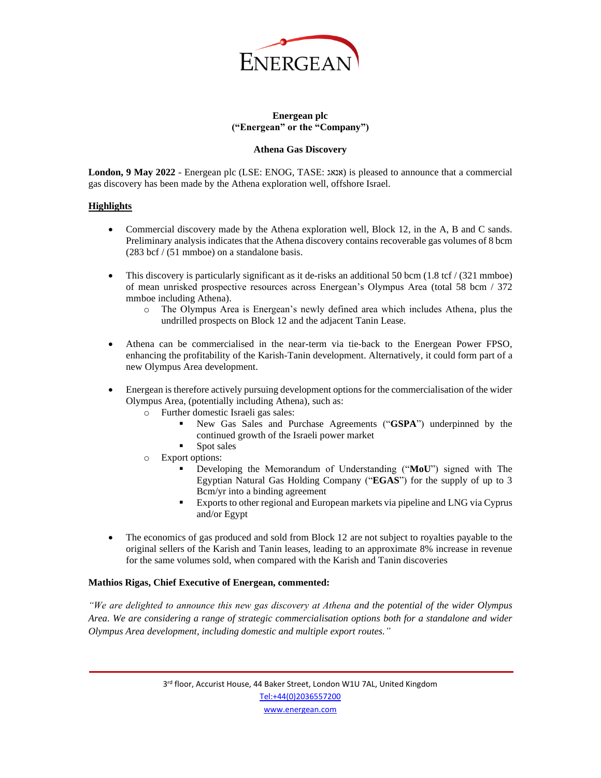

## **Energean plc ("Energean" or the "Company")**

#### **Athena Gas Discovery**

**London, 9 May 2022** - Energean plc (LSE: ENOG, TASE: אנאג (is pleased to announce that a commercial gas discovery has been made by the Athena exploration well, offshore Israel.

#### **Highlights**

- Commercial discovery made by the Athena exploration well, Block 12, in the A, B and C sands. Preliminary analysis indicates that the Athena discovery contains recoverable gas volumes of 8 bcm (283 bcf / (51 mmboe) on a standalone basis.
- This discovery is particularly significant as it de-risks an additional 50 bcm (1.8 tcf / (321 mmboe) of mean unrisked prospective resources across Energean's Olympus Area (total 58 bcm / 372 mmboe including Athena).
	- o The Olympus Area is Energean's newly defined area which includes Athena, plus the undrilled prospects on Block 12 and the adjacent Tanin Lease.
- Athena can be commercialised in the near-term via tie-back to the Energean Power FPSO, enhancing the profitability of the Karish-Tanin development. Alternatively, it could form part of a new Olympus Area development.
- Energean is therefore actively pursuing development options for the commercialisation of the wider Olympus Area, (potentially including Athena), such as:
	- o Further domestic Israeli gas sales:
		- New Gas Sales and Purchase Agreements ("GSPA") underpinned by the continued growth of the Israeli power market
		- Spot sales
	- o Export options:
		- Developing the Memorandum of Understanding ("MoU") signed with The Egyptian Natural Gas Holding Company ("**EGAS**") for the supply of up to 3 Bcm/yr into a binding agreement
		- **Exports to other regional and European markets via pipeline and LNG via Cyprus** and/or Egypt
- The economics of gas produced and sold from Block 12 are not subject to royalties payable to the original sellers of the Karish and Tanin leases, leading to an approximate 8% increase in revenue for the same volumes sold, when compared with the Karish and Tanin discoveries

#### **Mathios Rigas, Chief Executive of Energean, commented:**

*"We are delighted to announce this new gas discovery at Athena and the potential of the wider Olympus Area. We are considering a range of strategic commercialisation options both for a standalone and wider Olympus Area development, including domestic and multiple export routes."*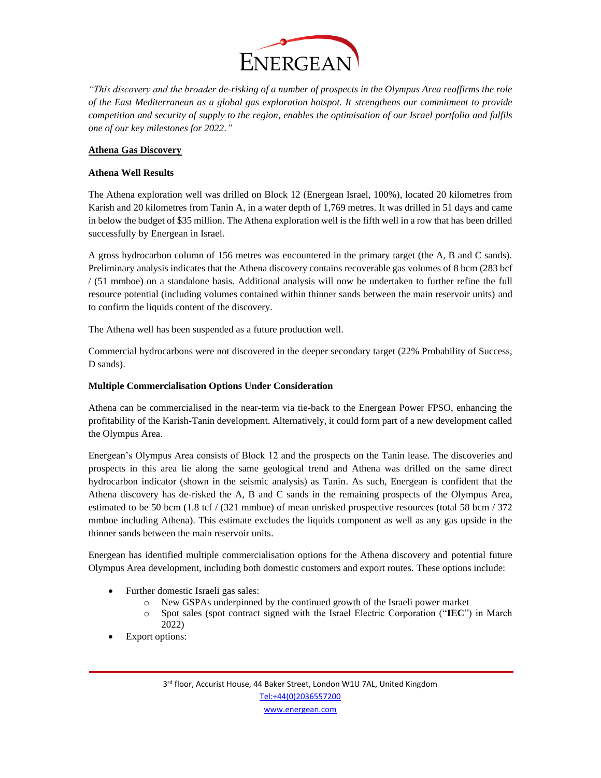

*"This discovery and the broader de-risking of a number of prospects in the Olympus Area reaffirms the role of the East Mediterranean as a global gas exploration hotspot. It strengthens our commitment to provide competition and security of supply to the region, enables the optimisation of our Israel portfolio and fulfils one of our key milestones for 2022."*

## **Athena Gas Discovery**

## **Athena Well Results**

The Athena exploration well was drilled on Block 12 (Energean Israel, 100%), located 20 kilometres from Karish and 20 kilometres from Tanin A, in a water depth of 1,769 metres. It was drilled in 51 days and came in below the budget of \$35 million. The Athena exploration well is the fifth well in a row that has been drilled successfully by Energean in Israel.

A gross hydrocarbon column of 156 metres was encountered in the primary target (the A, B and C sands). Preliminary analysis indicates that the Athena discovery contains recoverable gas volumes of 8 bcm (283 bcf / (51 mmboe) on a standalone basis. Additional analysis will now be undertaken to further refine the full resource potential (including volumes contained within thinner sands between the main reservoir units) and to confirm the liquids content of the discovery.

The Athena well has been suspended as a future production well.

Commercial hydrocarbons were not discovered in the deeper secondary target (22% Probability of Success, D sands).

## **Multiple Commercialisation Options Under Consideration**

Athena can be commercialised in the near-term via tie-back to the Energean Power FPSO, enhancing the profitability of the Karish-Tanin development. Alternatively, it could form part of a new development called the Olympus Area.

Energean's Olympus Area consists of Block 12 and the prospects on the Tanin lease. The discoveries and prospects in this area lie along the same geological trend and Athena was drilled on the same direct hydrocarbon indicator (shown in the seismic analysis) as Tanin. As such, Energean is confident that the Athena discovery has de-risked the A, B and C sands in the remaining prospects of the Olympus Area, estimated to be 50 bcm (1.8 tcf / (321 mmboe) of mean unrisked prospective resources (total 58 bcm / 372 mmboe including Athena). This estimate excludes the liquids component as well as any gas upside in the thinner sands between the main reservoir units.

Energean has identified multiple commercialisation options for the Athena discovery and potential future Olympus Area development, including both domestic customers and export routes. These options include:

- Further domestic Israeli gas sales:
	- o New GSPAs underpinned by the continued growth of the Israeli power market
	- o Spot sales (spot contract signed with the Israel Electric Corporation ("**IEC**") in March 2022)
- Export options: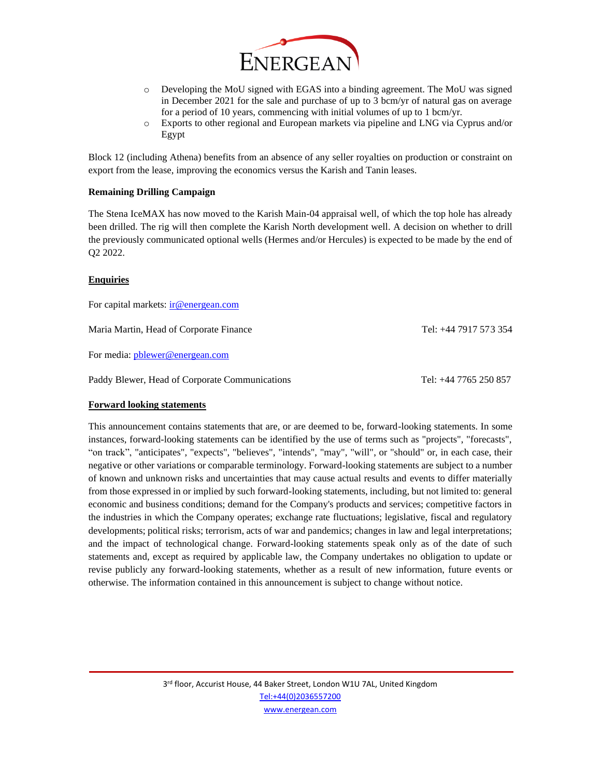

- o Developing the MoU signed with EGAS into a binding agreement. The MoU was signed in December 2021 for the sale and purchase of up to 3 bcm/yr of natural gas on average for a period of 10 years, commencing with initial volumes of up to 1 bcm/yr.
- o Exports to other regional and European markets via pipeline and LNG via Cyprus and/or Egypt

Block 12 (including Athena) benefits from an absence of any seller royalties on production or constraint on export from the lease, improving the economics versus the Karish and Tanin leases.

#### **Remaining Drilling Campaign**

The Stena IceMAX has now moved to the Karish Main-04 appraisal well, of which the top hole has already been drilled. The rig will then complete the Karish North development well. A decision on whether to drill the previously communicated optional wells (Hermes and/or Hercules) is expected to be made by the end of Q2 2022.

#### **Enquiries**

For capital markets[: ir@energean.com](mailto:ir@energean.com) Maria Martin, Head of Corporate Finance Tel: +44 7917 573 354 For media: [pblewer@energean.com](mailto:pblewer@energean.com) Paddy Blewer, Head of Corporate Communications Tel: +44 7765 250 857

# **Forward looking statements**

This announcement contains statements that are, or are deemed to be, forward-looking statements. In some instances, forward-looking statements can be identified by the use of terms such as "projects", "forecasts", "on track", "anticipates", "expects", "believes", "intends", "may", "will", or "should" or, in each case, their negative or other variations or comparable terminology. Forward-looking statements are subject to a number of known and unknown risks and uncertainties that may cause actual results and events to differ materially from those expressed in or implied by such forward-looking statements, including, but not limited to: general economic and business conditions; demand for the Company's products and services; competitive factors in the industries in which the Company operates; exchange rate fluctuations; legislative, fiscal and regulatory developments; political risks; terrorism, acts of war and pandemics; changes in law and legal interpretations; and the impact of technological change. Forward-looking statements speak only as of the date of such statements and, except as required by applicable law, the Company undertakes no obligation to update or revise publicly any forward-looking statements, whether as a result of new information, future events or otherwise. The information contained in this announcement is subject to change without notice.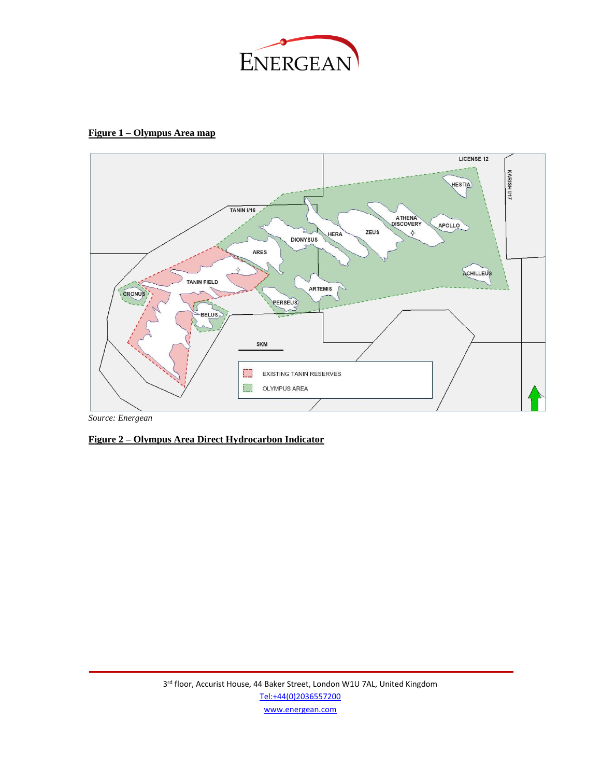

# **Figure 1 – Olympus Area map**



# **Figure 2 – Olympus Area Direct Hydrocarbon Indicator**